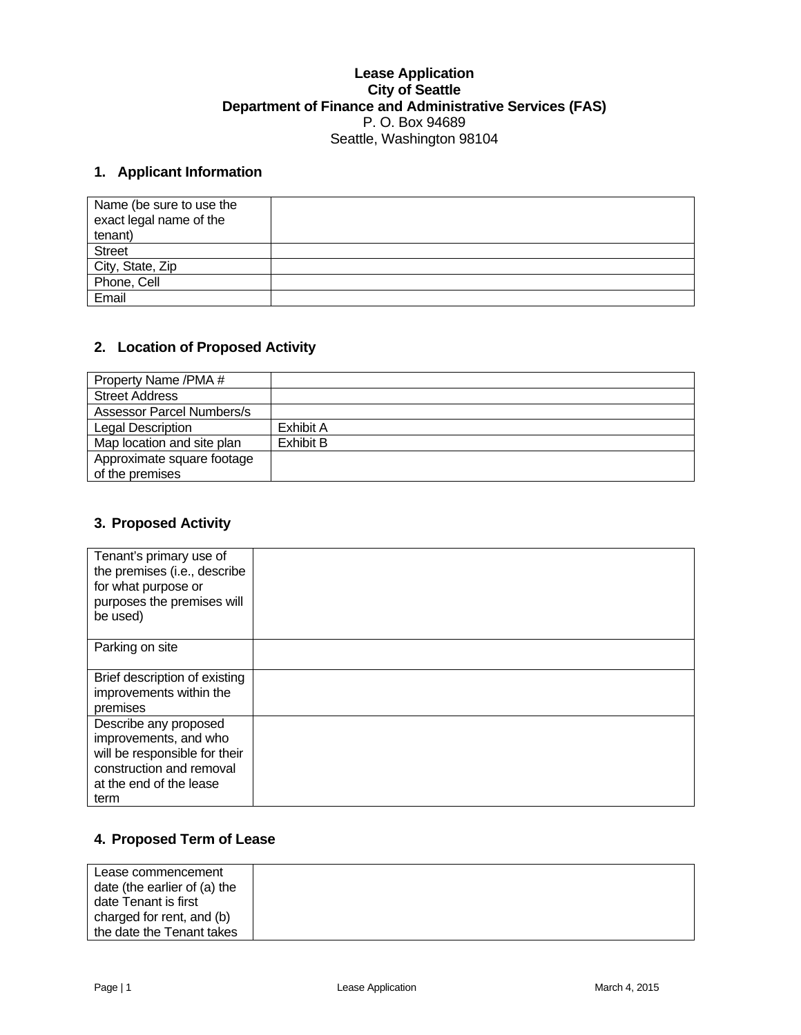#### **Lease Application City of Seattle Department of Finance and Administrative Services (FAS)**  P. O. Box 94689 Seattle, Washington 98104

## **1. Applicant Information**

| Name (be sure to use the<br>exact legal name of the<br>tenant) |  |
|----------------------------------------------------------------|--|
| <b>Street</b>                                                  |  |
|                                                                |  |
| City, State, Zip<br>Phone, Cell                                |  |
| Email                                                          |  |

#### **2. Location of Proposed Activity**

| Property Name /PMA #             |           |
|----------------------------------|-----------|
| <b>Street Address</b>            |           |
| <b>Assessor Parcel Numbers/s</b> |           |
| Legal Description                | Exhibit A |
| Map location and site plan       | Exhibit B |
| Approximate square footage       |           |
| of the premises                  |           |

## **3. Proposed Activity**

| Tenant's primary use of<br>the premises (i.e., describe<br>for what purpose or<br>purposes the premises will<br>be used)                       |  |
|------------------------------------------------------------------------------------------------------------------------------------------------|--|
| Parking on site                                                                                                                                |  |
| Brief description of existing<br>improvements within the<br>premises                                                                           |  |
| Describe any proposed<br>improvements, and who<br>will be responsible for their<br>construction and removal<br>at the end of the lease<br>term |  |

# **4. Proposed Term of Lease**

| Lease commencement<br>date (the earlier of (a) the |  |  |
|----------------------------------------------------|--|--|
| date Tenant is first                               |  |  |
| charged for rent, and (b)                          |  |  |
| the date the Tenant takes                          |  |  |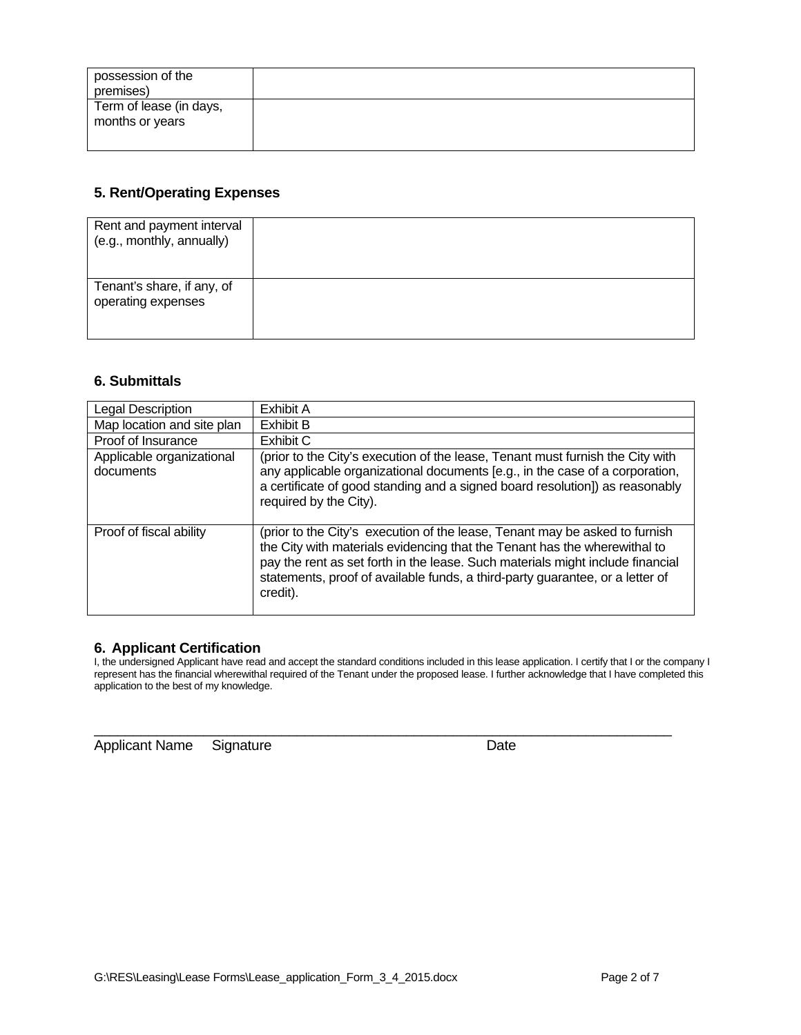| possession of the<br>premises)             |  |
|--------------------------------------------|--|
| Term of lease (in days,<br>months or years |  |

## **5. Rent/Operating Expenses**

| Rent and payment interval<br>(e.g., monthly, annually) |  |
|--------------------------------------------------------|--|
| Tenant's share, if any, of<br>operating expenses       |  |

## **6. Submittals**

| Legal Description                      | Exhibit A                                                                                                                                                                                                                                                                                                                               |
|----------------------------------------|-----------------------------------------------------------------------------------------------------------------------------------------------------------------------------------------------------------------------------------------------------------------------------------------------------------------------------------------|
| Map location and site plan             | Exhibit B                                                                                                                                                                                                                                                                                                                               |
| Proof of Insurance                     | Exhibit C                                                                                                                                                                                                                                                                                                                               |
| Applicable organizational<br>documents | (prior to the City's execution of the lease, Tenant must furnish the City with<br>any applicable organizational documents [e.g., in the case of a corporation,<br>a certificate of good standing and a signed board resolution]) as reasonably<br>required by the City).                                                                |
| Proof of fiscal ability                | (prior to the City's execution of the lease, Tenant may be asked to furnish<br>the City with materials evidencing that the Tenant has the wherewithal to<br>pay the rent as set forth in the lease. Such materials might include financial<br>statements, proof of available funds, a third-party guarantee, or a letter of<br>credit). |

### **6. Applicant Certification**

I, the undersigned Applicant have read and accept the standard conditions included in this lease application. I certify that I or the company I represent has the financial wherewithal required of the Tenant under the proposed lease. I further acknowledge that I have completed this application to the best of my knowledge.

 $\_$  , and the set of the set of the set of the set of the set of the set of the set of the set of the set of the set of the set of the set of the set of the set of the set of the set of the set of the set of the set of th

Applicant Name Signature **Date** Date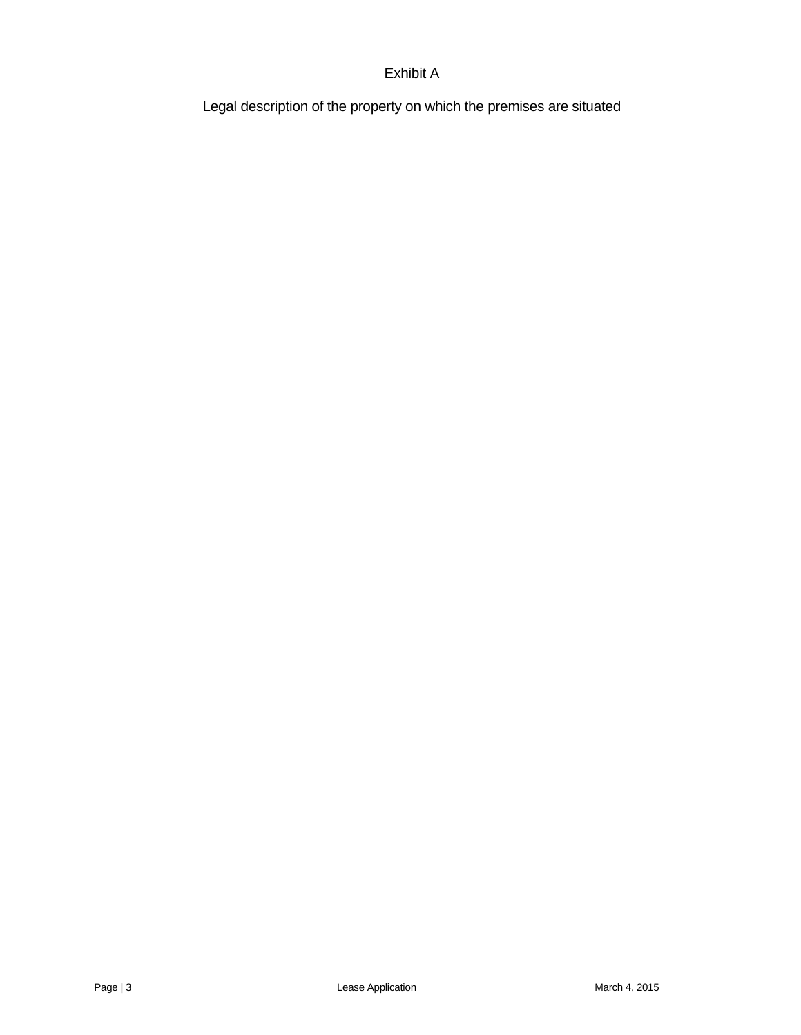# Exhibit A

Legal description of the property on which the premises are situated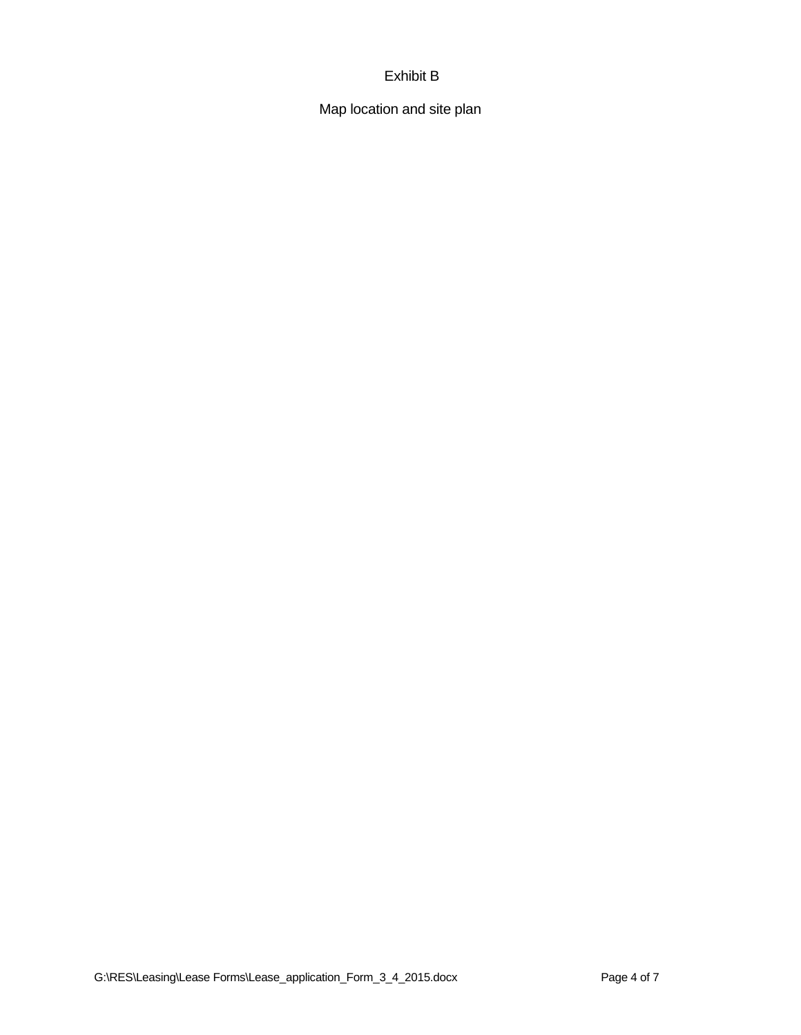# Exhibit B

Map location and site plan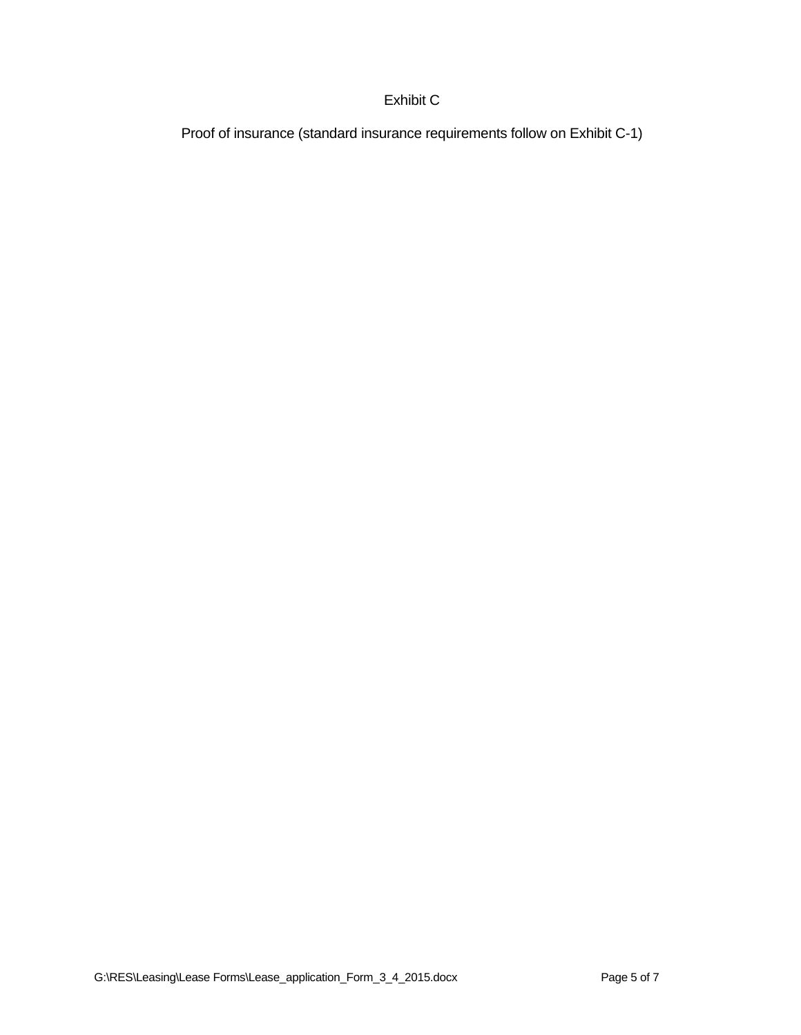# Exhibit C

Proof of insurance (standard insurance requirements follow on Exhibit C-1)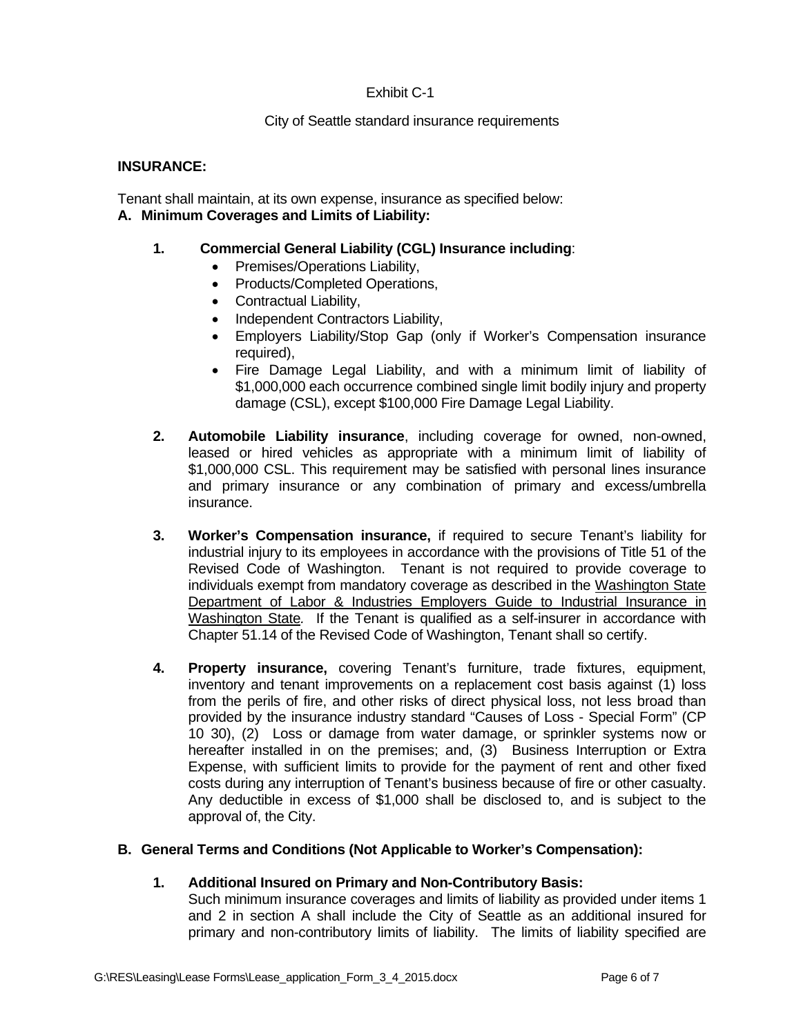## Exhibit C-1

### City of Seattle standard insurance requirements

#### **INSURANCE:**

Tenant shall maintain, at its own expense, insurance as specified below: **A. Minimum Coverages and Limits of Liability:** 

#### **1. Commercial General Liability (CGL) Insurance including**:

- Premises/Operations Liability,
- Products/Completed Operations,
- Contractual Liability,
- Independent Contractors Liability,
- Employers Liability/Stop Gap (only if Worker's Compensation insurance required),
- Fire Damage Legal Liability, and with a minimum limit of liability of \$1,000,000 each occurrence combined single limit bodily injury and property damage (CSL), except \$100,000 Fire Damage Legal Liability.
- **2. Automobile Liability insurance**, including coverage for owned, non-owned, leased or hired vehicles as appropriate with a minimum limit of liability of \$1,000,000 CSL. This requirement may be satisfied with personal lines insurance and primary insurance or any combination of primary and excess/umbrella insurance.
- **3. Worker's Compensation insurance,** if required to secure Tenant's liability for industrial injury to its employees in accordance with the provisions of Title 51 of the Revised Code of Washington. Tenant is not required to provide coverage to individuals exempt from mandatory coverage as described in the Washington State Department of Labor & Industries Employers Guide to Industrial Insurance in Washington State*.* If the Tenant is qualified as a self-insurer in accordance with Chapter 51.14 of the Revised Code of Washington, Tenant shall so certify.
- **4. Property insurance,** covering Tenant's furniture, trade fixtures, equipment, inventory and tenant improvements on a replacement cost basis against (1) loss from the perils of fire, and other risks of direct physical loss, not less broad than provided by the insurance industry standard "Causes of Loss - Special Form" (CP 10 30), (2) Loss or damage from water damage, or sprinkler systems now or hereafter installed in on the premises; and, (3) Business Interruption or Extra Expense, with sufficient limits to provide for the payment of rent and other fixed costs during any interruption of Tenant's business because of fire or other casualty. Any deductible in excess of \$1,000 shall be disclosed to, and is subject to the approval of, the City.

#### **B. General Terms and Conditions (Not Applicable to Worker's Compensation):**

#### **1. Additional Insured on Primary and Non-Contributory Basis:**

Such minimum insurance coverages and limits of liability as provided under items 1 and 2 in section A shall include the City of Seattle as an additional insured for primary and non-contributory limits of liability. The limits of liability specified are